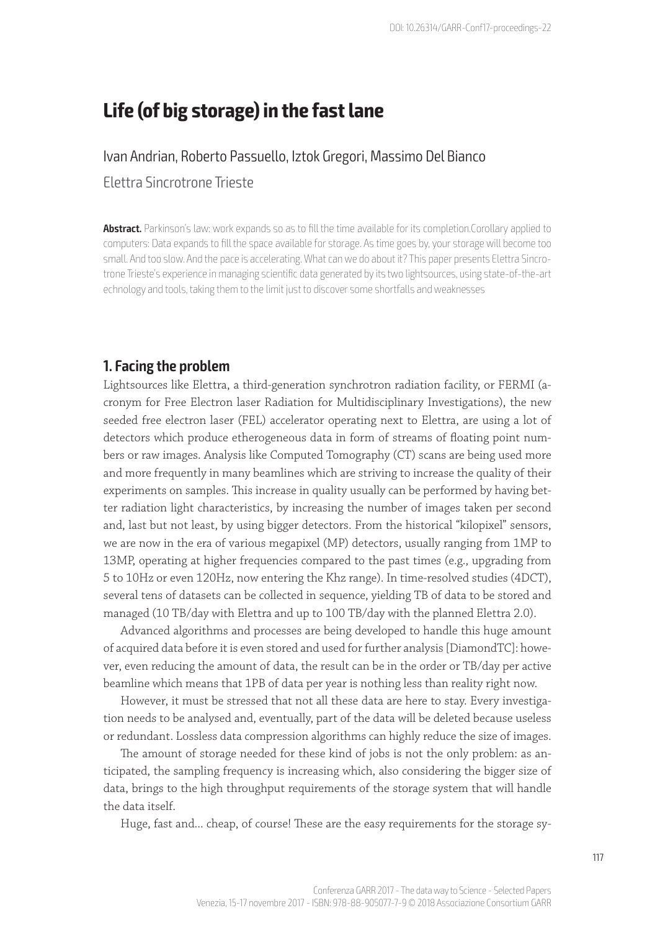# **Life (of big storage) in the fast lane**

#### Ivan Andrian, Roberto Passuello, Iztok Gregori, Massimo Del Bianco

Elettra Sincrotrone Trieste

**Abstract.** Parkinson's law: work expands so as to fill the time available for its completion.Corollary applied to computers: Data expands to fill the space available for storage. As time goes by, your storage will become too small. And too slow. And the pace is accelerating. What can we do about it? This paper presents Elettra Sincrotrone Trieste's experience in managing scientific data generated by its two lightsources, using state-of-the-art echnology and tools, taking them to the limit just to discover some shortfalls and weaknesses

#### **1. Facing the problem**

Lightsources like Elettra, a third-generation synchrotron radiation facility, or FERMI (acronym for Free Electron laser Radiation for Multidisciplinary Investigations), the new seeded free electron laser (FEL) accelerator operating next to Elettra, are using a lot of detectors which produce etherogeneous data in form of streams of floating point numbers or raw images. Analysis like Computed Tomography (CT) scans are being used more and more frequently in many beamlines which are striving to increase the quality of their experiments on samples. This increase in quality usually can be performed by having better radiation light characteristics, by increasing the number of images taken per second and, last but not least, by using bigger detectors. From the historical "kilopixel" sensors, we are now in the era of various megapixel (MP) detectors, usually ranging from 1MP to 13MP, operating at higher frequencies compared to the past times (e.g., upgrading from 5 to 10Hz or even 120Hz, now entering the Khz range). In time-resolved studies (4DCT), several tens of datasets can be collected in sequence, yielding TB of data to be stored and managed (10 TB/day with Elettra and up to 100 TB/day with the planned Elettra 2.0).

Advanced algorithms and processes are being developed to handle this huge amount of acquired data before it is even stored and used for further analysis [DiamondTC]: however, even reducing the amount of data, the result can be in the order or TB/day per active beamline which means that 1PB of data per year is nothing less than reality right now.

However, it must be stressed that not all these data are here to stay. Every investigation needs to be analysed and, eventually, part of the data will be deleted because useless or redundant. Lossless data compression algorithms can highly reduce the size of images.

The amount of storage needed for these kind of jobs is not the only problem: as anticipated, the sampling frequency is increasing which, also considering the bigger size of data, brings to the high throughput requirements of the storage system that will handle the data itself.

Huge, fast and... cheap, of course! These are the easy requirements for the storage sy-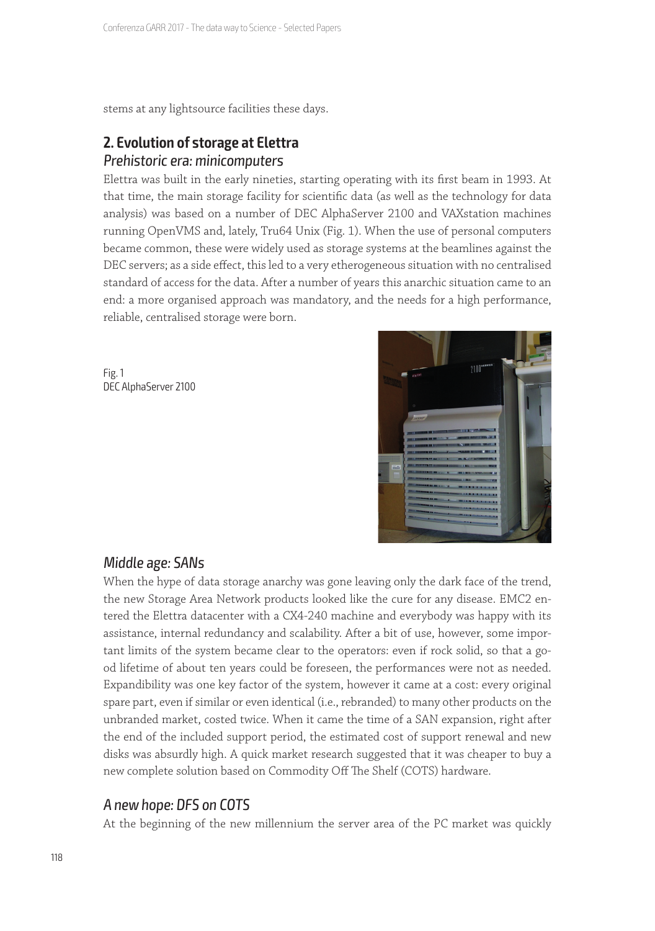stems at any lightsource facilities these days.

# **2. Evolution of storage at Elettra**  Prehistoric era: minicomputers

Elettra was built in the early nineties, starting operating with its first beam in 1993. At that time, the main storage facility for scientific data (as well as the technology for data analysis) was based on a number of DEC AlphaServer 2100 and VAXstation machines running OpenVMS and, lately, Tru64 Unix (Fig. 1). When the use of personal computers became common, these were widely used as storage systems at the beamlines against the DEC servers; as a side effect, this led to a very etherogeneous situation with no centralised standard of access for the data. After a number of years this anarchic situation came to an end: a more organised approach was mandatory, and the needs for a high performance, reliable, centralised storage were born.

Fig. 1 DEC AlphaServer 2100



## Middle age: SANs

When the hype of data storage anarchy was gone leaving only the dark face of the trend, the new Storage Area Network products looked like the cure for any disease. EMC2 entered the Elettra datacenter with a CX4-240 machine and everybody was happy with its assistance, internal redundancy and scalability. After a bit of use, however, some important limits of the system became clear to the operators: even if rock solid, so that a good lifetime of about ten years could be foreseen, the performances were not as needed. Expandibility was one key factor of the system, however it came at a cost: every original spare part, even if similar or even identical (i.e., rebranded) to many other products on the unbranded market, costed twice. When it came the time of a SAN expansion, right after the end of the included support period, the estimated cost of support renewal and new disks was absurdly high. A quick market research suggested that it was cheaper to buy a new complete solution based on Commodity Off The Shelf (COTS) hardware.

## A new hope: DFS on COTS

At the beginning of the new millennium the server area of the PC market was quickly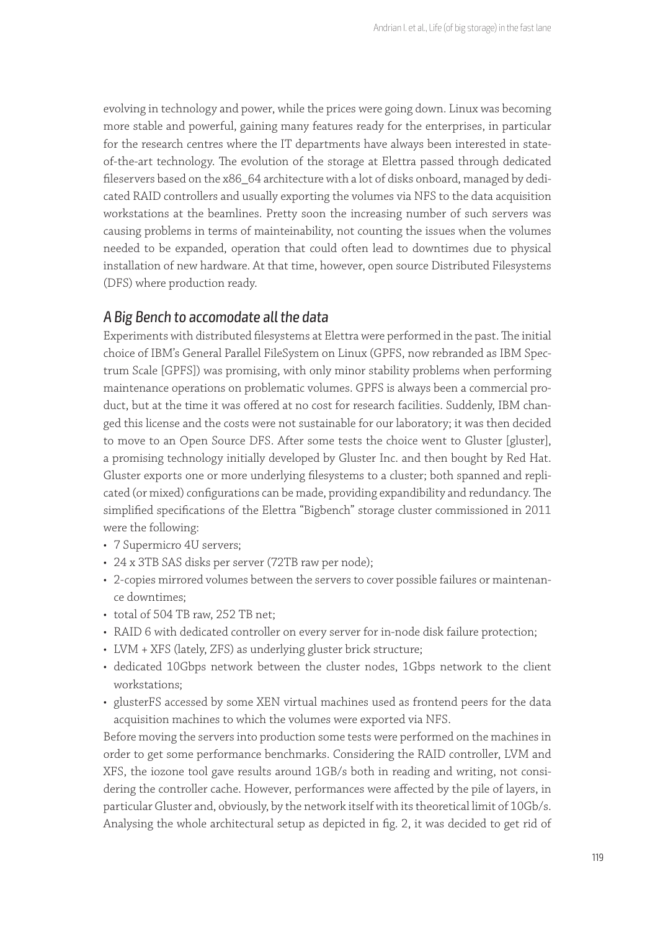evolving in technology and power, while the prices were going down. Linux was becoming more stable and powerful, gaining many features ready for the enterprises, in particular for the research centres where the IT departments have always been interested in stateof-the-art technology. The evolution of the storage at Elettra passed through dedicated fileservers based on the x86\_64 architecture with a lot of disks onboard, managed by dedicated RAID controllers and usually exporting the volumes via NFS to the data acquisition workstations at the beamlines. Pretty soon the increasing number of such servers was causing problems in terms of mainteinability, not counting the issues when the volumes needed to be expanded, operation that could often lead to downtimes due to physical installation of new hardware. At that time, however, open source Distributed Filesystems (DFS) where production ready.

## A Big Bench to accomodate all the data

Experiments with distributed filesystems at Elettra were performed in the past. The initial choice of IBM's General Parallel FileSystem on Linux (GPFS, now rebranded as IBM Spectrum Scale [GPFS]) was promising, with only minor stability problems when performing maintenance operations on problematic volumes. GPFS is always been a commercial product, but at the time it was offered at no cost for research facilities. Suddenly, IBM changed this license and the costs were not sustainable for our laboratory; it was then decided to move to an Open Source DFS. After some tests the choice went to Gluster [gluster], a promising technology initially developed by Gluster Inc. and then bought by Red Hat. Gluster exports one or more underlying filesystems to a cluster; both spanned and replicated (or mixed) configurations can be made, providing expandibility and redundancy. The simplified specifications of the Elettra "Bigbench" storage cluster commissioned in 2011 were the following:

- 7 Supermicro 4U servers;
- 24 x 3TB SAS disks per server (72TB raw per node);
- 2-copies mirrored volumes between the servers to cover possible failures or maintenance downtimes;
- total of 504 TB raw, 252 TB net;
- RAID 6 with dedicated controller on every server for in-node disk failure protection;
- LVM + XFS (lately, ZFS) as underlying gluster brick structure;
- dedicated 10Gbps network between the cluster nodes, 1Gbps network to the client workstations;
- glusterFS accessed by some XEN virtual machines used as frontend peers for the data acquisition machines to which the volumes were exported via NFS.

Before moving the servers into production some tests were performed on the machines in order to get some performance benchmarks. Considering the RAID controller, LVM and XFS, the iozone tool gave results around 1GB/s both in reading and writing, not considering the controller cache. However, performances were affected by the pile of layers, in particular Gluster and, obviously, by the network itself with its theoretical limit of 10Gb/s. Analysing the whole architectural setup as depicted in fig. 2, it was decided to get rid of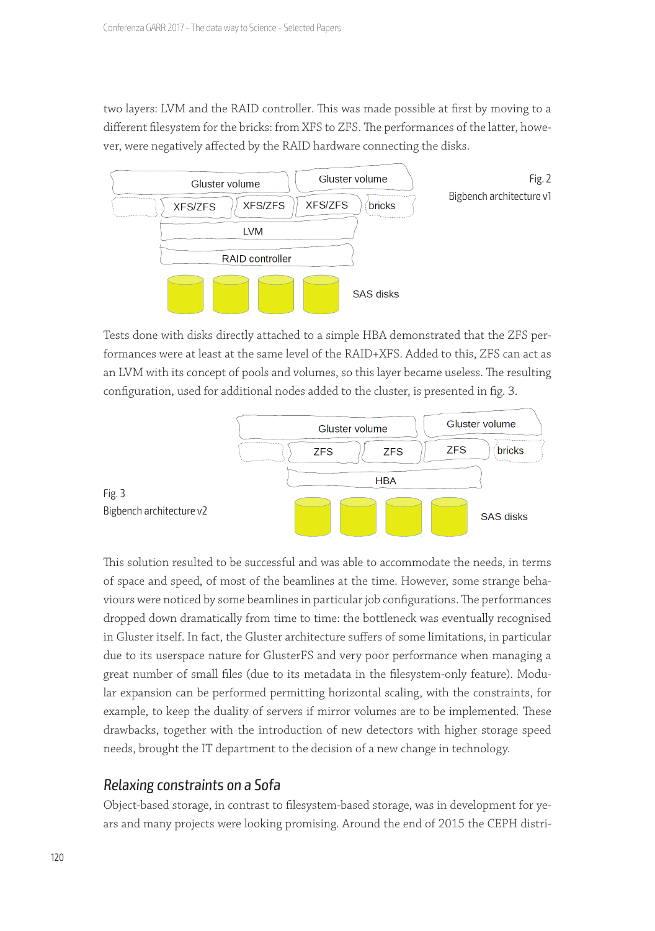two layers: LVM and the RAID controller. This was made possible at first by moving to a different filesystem for the bricks: from XFS to ZFS. The performances of the latter, however, were negatively affected by the RAID hardware connecting the disks.



Tests done with disks directly attached to a simple HBA demonstrated that the ZFS performances were at least at the same level of the RAID+XFS. Added to this, ZFS can act as an LVM with its concept of pools and volumes, so this layer became useless. The resulting configuration, used for additional nodes added to the cluster, is presented in fig. 3.



This solution resulted to be successful and was able to accommodate the needs, in terms of space and speed, of most of the beamlines at the time. However, some strange behaviours were noticed by some beamlines in particular job configurations. The performances dropped down dramatically from time to time: the bottleneck was eventually recognised in Gluster itself. In fact, the Gluster architecture suffers of some limitations, in particular due to its userspace nature for GlusterFS and very poor performance when managing a great number of small files (due to its metadata in the filesystem-only feature). Modular expansion can be performed permitting horizontal scaling, with the constraints, for example, to keep the duality of servers if mirror volumes are to be implemented. These drawbacks, together with the introduction of new detectors with higher storage speed needs, brought the IT department to the decision of a new change in technology.

## Relaxing constraints on a Sofa

Object-based storage, in contrast to filesystem-based storage, was in development for years and many projects were looking promising. Around the end of 2015 the CEPH distri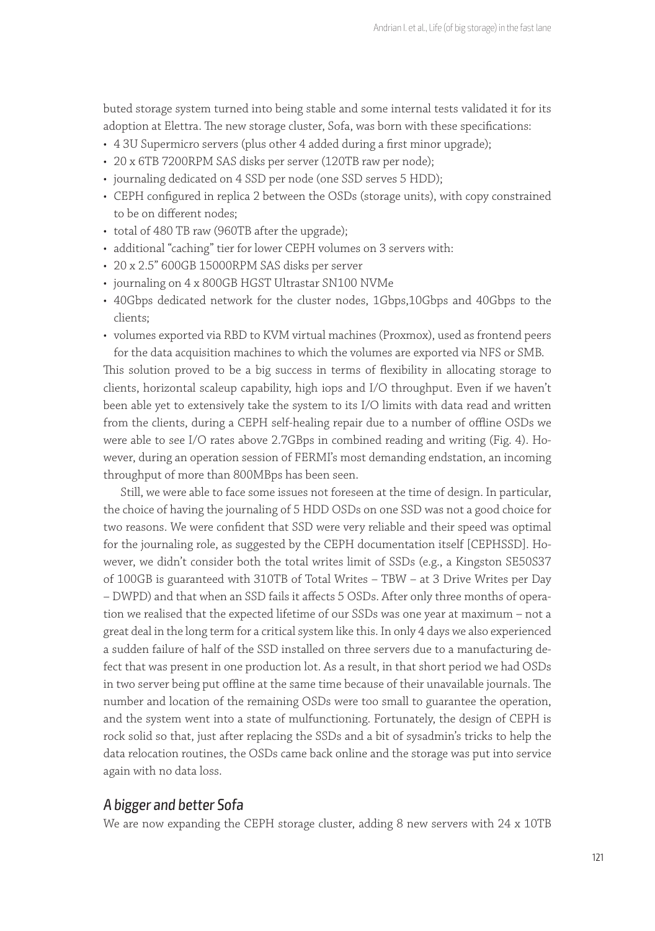buted storage system turned into being stable and some internal tests validated it for its adoption at Elettra. The new storage cluster, Sofa, was born with these specifications:

- 4 3U Supermicro servers (plus other 4 added during a first minor upgrade);
- 20 x 6TB 7200RPM SAS disks per server (120TB raw per node);
- journaling dedicated on 4 SSD per node (one SSD serves 5 HDD);
- CEPH configured in replica 2 between the OSDs (storage units), with copy constrained to be on different nodes;
- total of 480 TB raw (960TB after the upgrade);
- additional "caching" tier for lower CEPH volumes on 3 servers with:
- 20 x 2.5" 600GB 15000RPM SAS disks per server
- journaling on 4 x 800GB HGST Ultrastar SN100 NVMe
- 40Gbps dedicated network for the cluster nodes, 1Gbps,10Gbps and 40Gbps to the clients;
- volumes exported via RBD to KVM virtual machines (Proxmox), used as frontend peers for the data acquisition machines to which the volumes are exported via NFS or SMB.

This solution proved to be a big success in terms of flexibility in allocating storage to clients, horizontal scaleup capability, high iops and I/O throughput. Even if we haven't been able yet to extensively take the system to its I/O limits with data read and written from the clients, during a CEPH self-healing repair due to a number of offline OSDs we were able to see I/O rates above 2.7GBps in combined reading and writing (Fig. 4). However, during an operation session of FERMI's most demanding endstation, an incoming throughput of more than 800MBps has been seen.

Still, we were able to face some issues not foreseen at the time of design. In particular, the choice of having the journaling of 5 HDD OSDs on one SSD was not a good choice for two reasons. We were confident that SSD were very reliable and their speed was optimal for the journaling role, as suggested by the CEPH documentation itself [CEPHSSD]. However, we didn't consider both the total writes limit of SSDs (e.g., a Kingston SE50S37 of 100GB is guaranteed with 310TB of Total Writes – TBW – at 3 Drive Writes per Day – DWPD) and that when an SSD fails it affects 5 OSDs. After only three months of operation we realised that the expected lifetime of our SSDs was one year at maximum – not a great deal in the long term for a critical system like this. In only 4 days we also experienced a sudden failure of half of the SSD installed on three servers due to a manufacturing defect that was present in one production lot. As a result, in that short period we had OSDs in two server being put offline at the same time because of their unavailable journals. The number and location of the remaining OSDs were too small to guarantee the operation, and the system went into a state of mulfunctioning. Fortunately, the design of CEPH is rock solid so that, just after replacing the SSDs and a bit of sysadmin's tricks to help the data relocation routines, the OSDs came back online and the storage was put into service again with no data loss.

## A bigger and better Sofa

We are now expanding the CEPH storage cluster, adding 8 new servers with 24 x 10TB